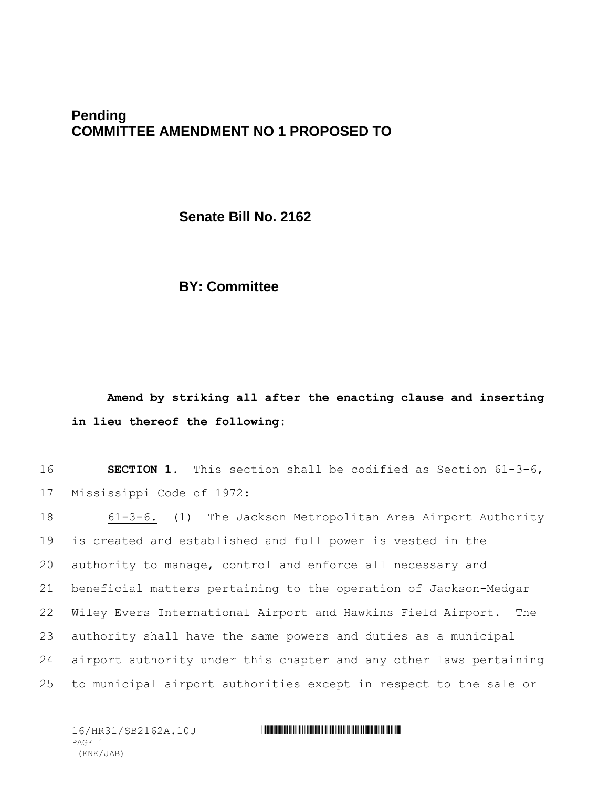# **Pending COMMITTEE AMENDMENT NO 1 PROPOSED TO**

**Senate Bill No. 2162**

# **BY: Committee**

# **Amend by striking all after the enacting clause and inserting in lieu thereof the following:**

16 **SECTION 1.** This section shall be codified as Section 61-3-6, 17 Mississippi Code of 1972:

 61-3-6. (1) The Jackson Metropolitan Area Airport Authority is created and established and full power is vested in the authority to manage, control and enforce all necessary and beneficial matters pertaining to the operation of Jackson-Medgar Wiley Evers International Airport and Hawkins Field Airport. The authority shall have the same powers and duties as a municipal airport authority under this chapter and any other laws pertaining to municipal airport authorities except in respect to the sale or

PAGE 1 (ENK/JAB)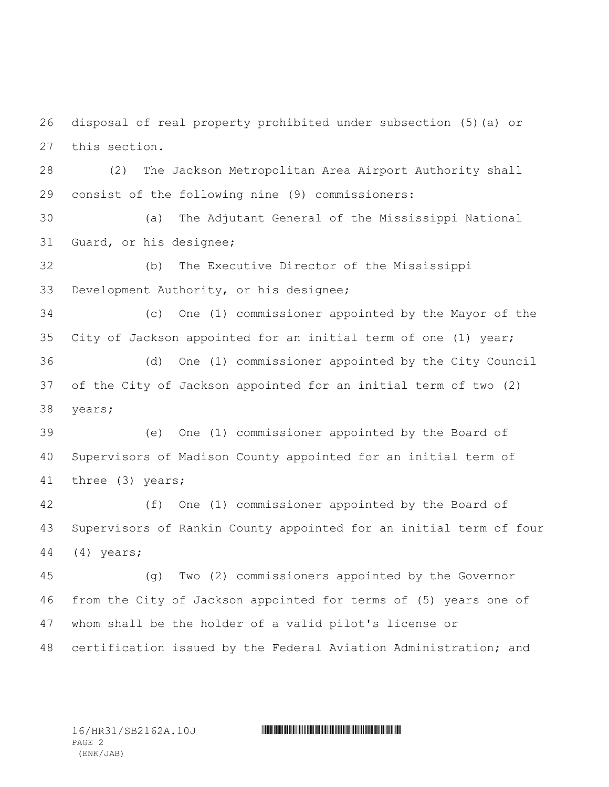disposal of real property prohibited under subsection (5)(a) or this section.

 (2) The Jackson Metropolitan Area Airport Authority shall consist of the following nine (9) commissioners:

 (a) The Adjutant General of the Mississippi National Guard, or his designee;

 (b) The Executive Director of the Mississippi Development Authority, or his designee;

 (c) One (1) commissioner appointed by the Mayor of the City of Jackson appointed for an initial term of one (1) year; (d) One (1) commissioner appointed by the City Council

 of the City of Jackson appointed for an initial term of two (2) years;

 (e) One (1) commissioner appointed by the Board of Supervisors of Madison County appointed for an initial term of three (3) years;

 (f) One (1) commissioner appointed by the Board of Supervisors of Rankin County appointed for an initial term of four (4) years;

 (g) Two (2) commissioners appointed by the Governor from the City of Jackson appointed for terms of (5) years one of whom shall be the holder of a valid pilot's license or certification issued by the Federal Aviation Administration; and

PAGE 2 (ENK/JAB)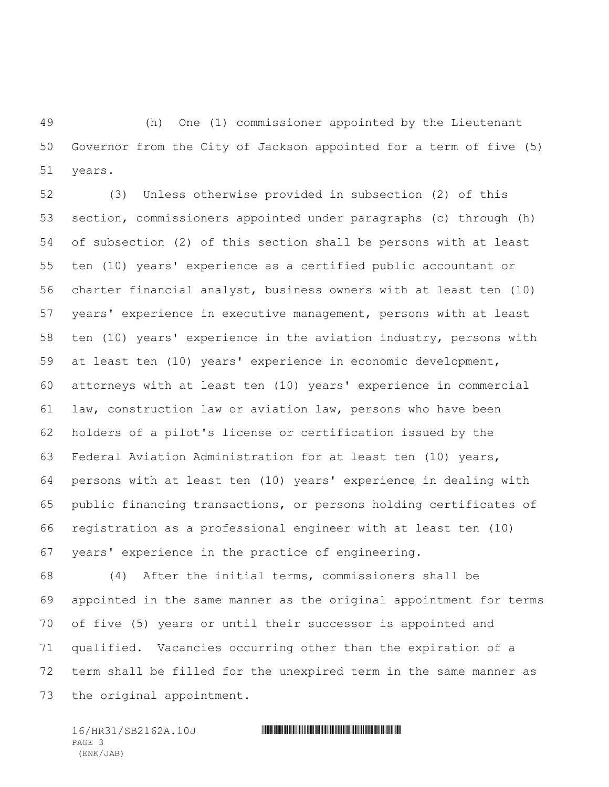(h) One (1) commissioner appointed by the Lieutenant Governor from the City of Jackson appointed for a term of five (5) years.

 (3) Unless otherwise provided in subsection (2) of this section, commissioners appointed under paragraphs (c) through (h) of subsection (2) of this section shall be persons with at least ten (10) years' experience as a certified public accountant or charter financial analyst, business owners with at least ten (10) years' experience in executive management, persons with at least ten (10) years' experience in the aviation industry, persons with at least ten (10) years' experience in economic development, attorneys with at least ten (10) years' experience in commercial law, construction law or aviation law, persons who have been holders of a pilot's license or certification issued by the Federal Aviation Administration for at least ten (10) years, persons with at least ten (10) years' experience in dealing with public financing transactions, or persons holding certificates of registration as a professional engineer with at least ten (10) years' experience in the practice of engineering.

 (4) After the initial terms, commissioners shall be appointed in the same manner as the original appointment for terms of five (5) years or until their successor is appointed and qualified. Vacancies occurring other than the expiration of a term shall be filled for the unexpired term in the same manner as the original appointment.

16/HR31/SB2162A.10J \*HR31/SB2162A.10J\* PAGE 3 (ENK/JAB)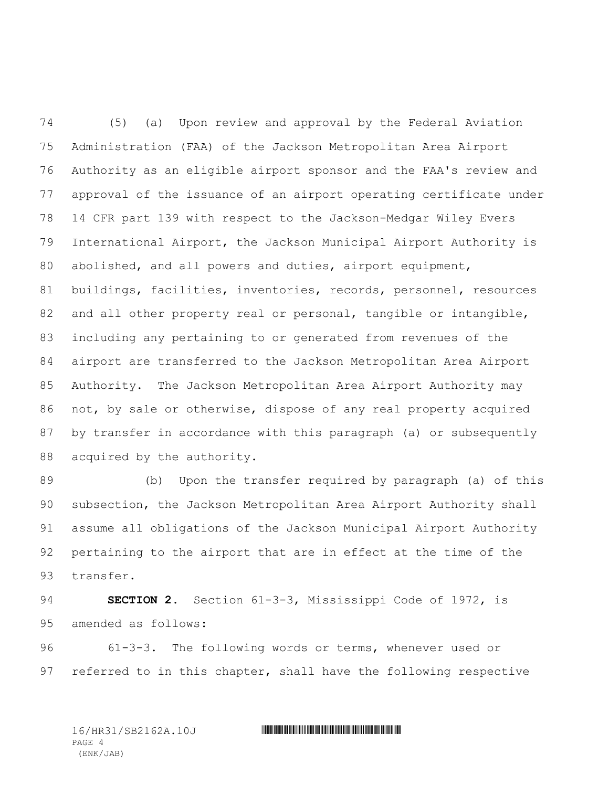(5) (a) Upon review and approval by the Federal Aviation Administration (FAA) of the Jackson Metropolitan Area Airport Authority as an eligible airport sponsor and the FAA's review and approval of the issuance of an airport operating certificate under 14 CFR part 139 with respect to the Jackson-Medgar Wiley Evers International Airport, the Jackson Municipal Airport Authority is abolished, and all powers and duties, airport equipment, buildings, facilities, inventories, records, personnel, resources 82 and all other property real or personal, tangible or intangible, including any pertaining to or generated from revenues of the airport are transferred to the Jackson Metropolitan Area Airport Authority. The Jackson Metropolitan Area Airport Authority may not, by sale or otherwise, dispose of any real property acquired by transfer in accordance with this paragraph (a) or subsequently 88 acquired by the authority.

 (b) Upon the transfer required by paragraph (a) of this subsection, the Jackson Metropolitan Area Airport Authority shall assume all obligations of the Jackson Municipal Airport Authority pertaining to the airport that are in effect at the time of the transfer.

 **SECTION 2.** Section 61-3-3, Mississippi Code of 1972, is amended as follows:

 61-3-3. The following words or terms, whenever used or referred to in this chapter, shall have the following respective

PAGE 4 (ENK/JAB)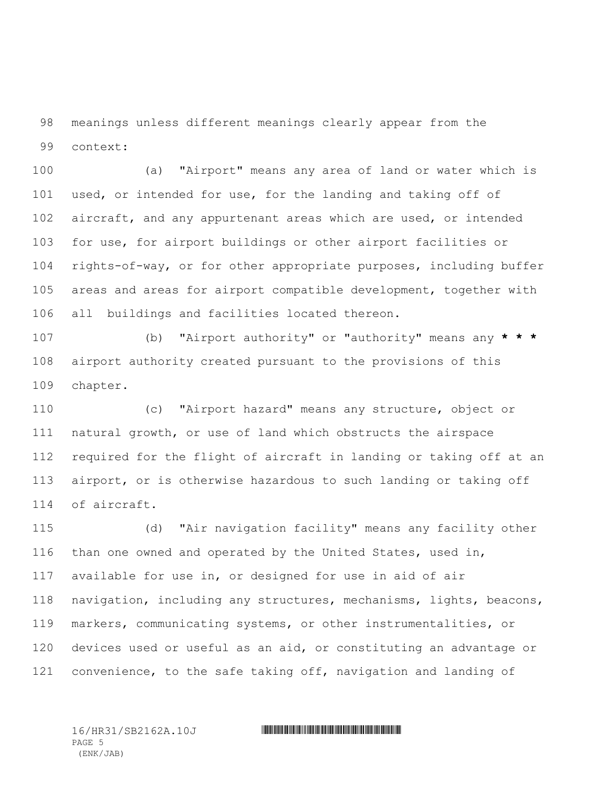meanings unless different meanings clearly appear from the context:

 (a) "Airport" means any area of land or water which is used, or intended for use, for the landing and taking off of 102 aircraft, and any appurtenant areas which are used, or intended for use, for airport buildings or other airport facilities or rights-of-way, or for other appropriate purposes, including buffer areas and areas for airport compatible development, together with all buildings and facilities located thereon.

 (b) "Airport authority" or "authority" means any **\* \* \*** airport authority created pursuant to the provisions of this chapter.

 (c) "Airport hazard" means any structure, object or natural growth, or use of land which obstructs the airspace required for the flight of aircraft in landing or taking off at an airport, or is otherwise hazardous to such landing or taking off of aircraft.

 (d) "Air navigation facility" means any facility other than one owned and operated by the United States, used in, available for use in, or designed for use in aid of air navigation, including any structures, mechanisms, lights, beacons, markers, communicating systems, or other instrumentalities, or devices used or useful as an aid, or constituting an advantage or convenience, to the safe taking off, navigation and landing of

PAGE 5 (ENK/JAB)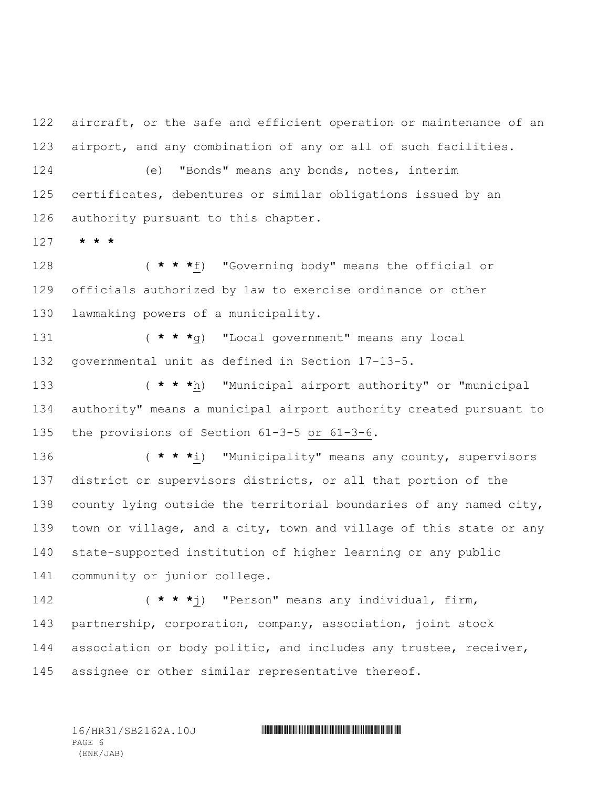aircraft, or the safe and efficient operation or maintenance of an airport, and any combination of any or all of such facilities.

 (e) "Bonds" means any bonds, notes, interim certificates, debentures or similar obligations issued by an authority pursuant to this chapter.

**\* \* \***

 ( **\* \* \***f) "Governing body" means the official or officials authorized by law to exercise ordinance or other lawmaking powers of a municipality.

 ( **\* \* \***g) "Local government" means any local governmental unit as defined in Section 17-13-5.

 ( **\* \* \***h) "Municipal airport authority" or "municipal authority" means a municipal airport authority created pursuant to the provisions of Section 61-3-5 or 61-3-6.

 ( **\* \* \***i) "Municipality" means any county, supervisors district or supervisors districts, or all that portion of the county lying outside the territorial boundaries of any named city, 139 town or village, and a city, town and village of this state or any state-supported institution of higher learning or any public community or junior college.

 ( **\* \* \***j) "Person" means any individual, firm, partnership, corporation, company, association, joint stock 144 association or body politic, and includes any trustee, receiver, assignee or other similar representative thereof.

PAGE 6 (ENK/JAB)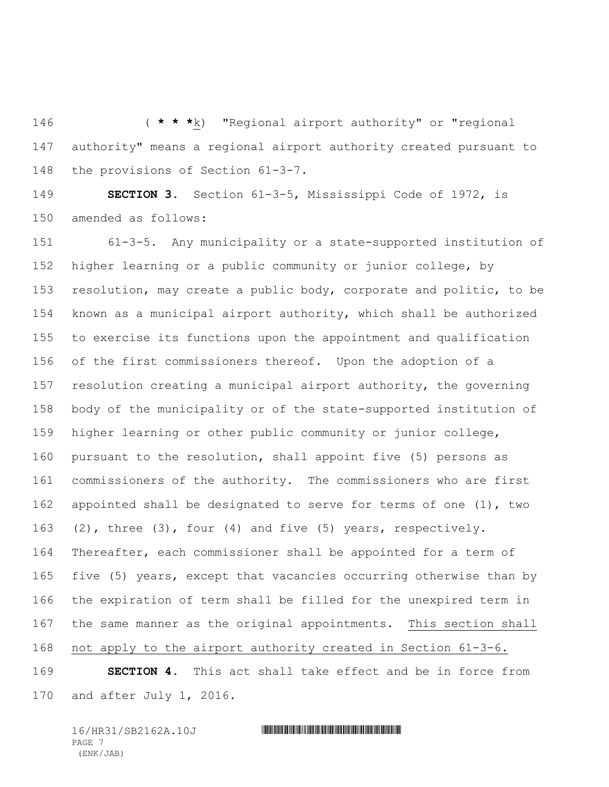( **\* \* \***k) "Regional airport authority" or "regional authority" means a regional airport authority created pursuant to the provisions of Section 61-3-7.

 **SECTION 3.** Section 61-3-5, Mississippi Code of 1972, is amended as follows:

 61-3-5. Any municipality or a state-supported institution of higher learning or a public community or junior college, by resolution, may create a public body, corporate and politic, to be known as a municipal airport authority, which shall be authorized to exercise its functions upon the appointment and qualification of the first commissioners thereof. Upon the adoption of a resolution creating a municipal airport authority, the governing body of the municipality or of the state-supported institution of higher learning or other public community or junior college, pursuant to the resolution, shall appoint five (5) persons as commissioners of the authority. The commissioners who are first appointed shall be designated to serve for terms of one (1), two (2), three (3), four (4) and five (5) years, respectively. Thereafter, each commissioner shall be appointed for a term of five (5) years, except that vacancies occurring otherwise than by the expiration of term shall be filled for the unexpired term in the same manner as the original appointments. This section shall not apply to the airport authority created in Section 61-3-6.

 **SECTION 4.** This act shall take effect and be in force from and after July 1, 2016.

PAGE 7 (ENK/JAB)